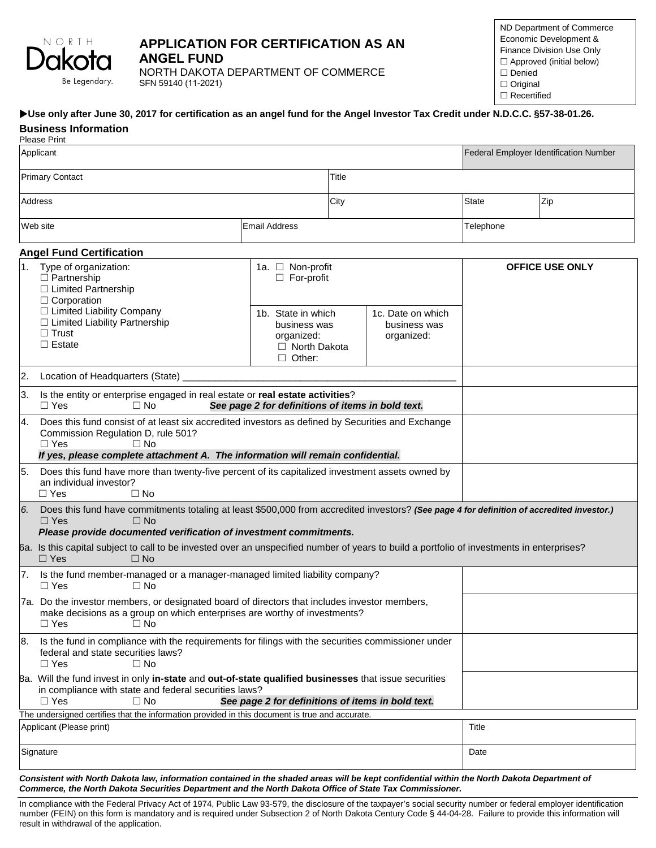

# **APPLICATION FOR CERTIFICATION AS AN ANGEL FUND**

NORTH DAKOTA DEPARTMENT OF COMMERCE SFN 59140 (11-2021)

ND Department of Commerce Economic Development & Finance Division Use Only  $\Box$  Approved (initial below) Denied  $\Box$  Original □ Recertified

#### **Use only after June 30, 2017 for certification as an angel fund for the Angel Investor Tax Credit under N.D.C.C. §57-38-01.26.**

|                          | <b>Business Information</b><br><b>Please Print</b>                                                                                                                                                                                                    |                                                                                          |      |                                                 |       |                                               |  |  |  |
|--------------------------|-------------------------------------------------------------------------------------------------------------------------------------------------------------------------------------------------------------------------------------------------------|------------------------------------------------------------------------------------------|------|-------------------------------------------------|-------|-----------------------------------------------|--|--|--|
| Applicant                |                                                                                                                                                                                                                                                       |                                                                                          |      |                                                 |       | <b>Federal Employer Identification Number</b> |  |  |  |
| <b>Primary Contact</b>   |                                                                                                                                                                                                                                                       |                                                                                          |      | Title                                           |       |                                               |  |  |  |
| Address                  |                                                                                                                                                                                                                                                       |                                                                                          | City |                                                 | State | Zip                                           |  |  |  |
| Web site                 |                                                                                                                                                                                                                                                       | <b>Email Address</b>                                                                     |      | Telephone                                       |       |                                               |  |  |  |
|                          | <b>Angel Fund Certification</b>                                                                                                                                                                                                                       |                                                                                          |      |                                                 |       |                                               |  |  |  |
| 1 <sub>1</sub>           | Type of organization:<br>$\Box$ Partnership<br>□ Limited Partnership<br>$\Box$ Corporation                                                                                                                                                            | 1a. □ Non-profit<br>$\Box$ For-profit                                                    |      |                                                 |       | <b>OFFICE USE ONLY</b>                        |  |  |  |
|                          | □ Limited Liability Company<br>$\Box$ Limited Liability Partnership<br>$\Box$ Trust<br>$\Box$ Estate                                                                                                                                                  | 1b. State in which<br>business was<br>organized:<br>$\Box$ North Dakota<br>$\Box$ Other: |      | 1c. Date on which<br>business was<br>organized: |       |                                               |  |  |  |
| 2.                       | Location of Headquarters (State)                                                                                                                                                                                                                      |                                                                                          |      |                                                 |       |                                               |  |  |  |
| 3.                       | Is the entity or enterprise engaged in real estate or real estate activities?<br>$\Box$ Yes<br>$\Box$ No<br>See page 2 for definitions of items in bold text.                                                                                         |                                                                                          |      |                                                 |       |                                               |  |  |  |
|                          | Does this fund consist of at least six accredited investors as defined by Securities and Exchange<br>Commission Regulation D, rule 501?<br>$\Box$ Yes<br>$\Box$ No<br>If yes, please complete attachment A. The information will remain confidential. |                                                                                          |      |                                                 |       |                                               |  |  |  |
| 5.                       | Does this fund have more than twenty-five percent of its capitalized investment assets owned by<br>an individual investor?<br>$\Box$ Yes<br>$\Box$ No                                                                                                 |                                                                                          |      |                                                 |       |                                               |  |  |  |
| 6.                       | Does this fund have commitments totaling at least \$500,000 from accredited investors? (See page 4 for definition of accredited investor.)<br>$\Box$ Yes<br>$\Box$ No<br>Please provide documented verification of investment commitments.            |                                                                                          |      |                                                 |       |                                               |  |  |  |
|                          | 6a. Is this capital subject to call to be invested over an unspecified number of years to build a portfolio of investments in enterprises?<br>$\Box$ Yes<br>$\Box$ No                                                                                 |                                                                                          |      |                                                 |       |                                               |  |  |  |
|                          | Is the fund member-managed or a manager-managed limited liability company?<br>$\Box$ Yes<br>$\Box$ No                                                                                                                                                 |                                                                                          |      |                                                 |       |                                               |  |  |  |
|                          | 7a. Do the investor members, or designated board of directors that includes investor members,<br>make decisions as a group on which enterprises are worthy of investments?<br>$\Box$ No<br>$\Box$ Yes                                                 |                                                                                          |      |                                                 |       |                                               |  |  |  |
| 8.                       | Is the fund in compliance with the requirements for filings with the securities commissioner under<br>federal and state securities laws?<br>$\Box$ Yes<br>$\Box$ No                                                                                   |                                                                                          |      |                                                 |       |                                               |  |  |  |
|                          | 8a. Will the fund invest in only in-state and out-of-state qualified businesses that issue securities<br>in compliance with state and federal securities laws?<br>$\Box$ Yes<br>$\Box$ No<br>See page 2 for definitions of items in bold text.        |                                                                                          |      |                                                 |       |                                               |  |  |  |
|                          | The undersigned certifies that the information provided in this document is true and accurate.                                                                                                                                                        |                                                                                          |      |                                                 | Title |                                               |  |  |  |
| Applicant (Please print) |                                                                                                                                                                                                                                                       |                                                                                          |      |                                                 |       |                                               |  |  |  |
| Signature                |                                                                                                                                                                                                                                                       |                                                                                          |      |                                                 |       |                                               |  |  |  |
|                          |                                                                                                                                                                                                                                                       |                                                                                          |      |                                                 |       |                                               |  |  |  |

*Consistent with North Dakota law, information contained in the shaded areas will be kept confidential within the North Dakota Department of Commerce, the North Dakota Securities Department and the North Dakota Office of State Tax Commissioner.*

In compliance with the Federal Privacy Act of 1974, Public Law 93-579, the disclosure of the taxpayer's social security number or federal employer identification number (FEIN) on this form is mandatory and is required under Subsection 2 of North Dakota Century Code § 44-04-28. Failure to provide this information will result in withdrawal of the application.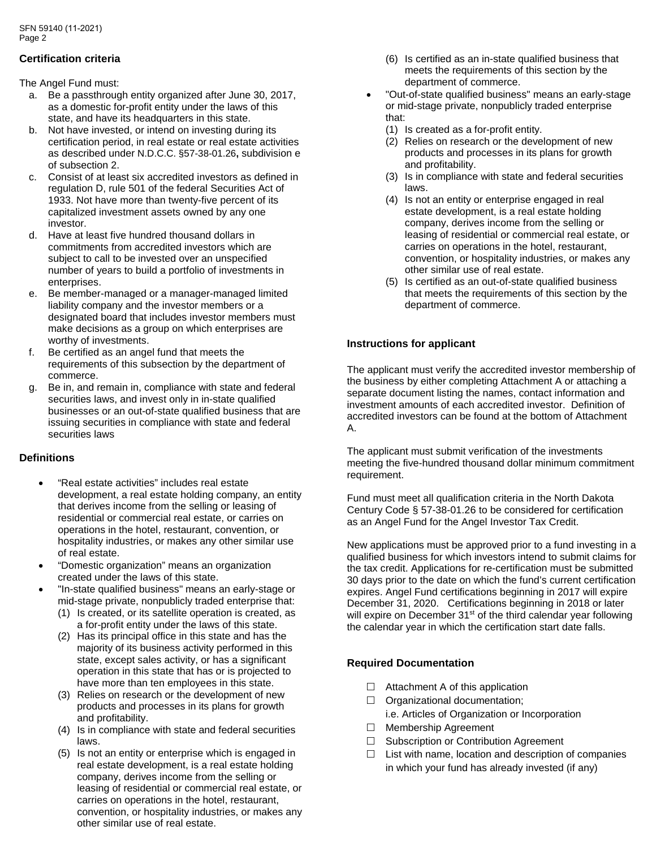## **Certification criteria**

The Angel Fund must:

- a. Be a passthrough entity organized after June 30, 2017, as a domestic for-profit entity under the laws of this state, and have its headquarters in this state.
- b. Not have invested, or intend on investing during its certification period, in real estate or real estate activities as described under N.D.C.C. §57-38-01.26**,** subdivision e of subsection 2.
- c. Consist of at least six accredited investors as defined in regulation D, rule 501 of the federal Securities Act of 1933. Not have more than twenty-five percent of its capitalized investment assets owned by any one investor.
- d. Have at least five hundred thousand dollars in commitments from accredited investors which are subject to call to be invested over an unspecified number of years to build a portfolio of investments in enterprises.
- e. Be member-managed or a manager-managed limited liability company and the investor members or a designated board that includes investor members must make decisions as a group on which enterprises are worthy of investments.
- f. Be certified as an angel fund that meets the requirements of this subsection by the department of commerce.
- g. Be in, and remain in, compliance with state and federal securities laws, and invest only in in-state qualified businesses or an out-of-state qualified business that are issuing securities in compliance with state and federal securities laws

## **Definitions**

- "Real estate activities" includes real estate development, a real estate holding company, an entity that derives income from the selling or leasing of residential or commercial real estate, or carries on operations in the hotel, restaurant, convention, or hospitality industries, or makes any other similar use of real estate.
- "Domestic organization" means an organization created under the laws of this state.
	- "In-state qualified business" means an early-stage or mid-stage private, nonpublicly traded enterprise that:
		- (1) Is created, or its satellite operation is created, as a for-profit entity under the laws of this state.
		- (2) Has its principal office in this state and has the majority of its business activity performed in this state, except sales activity, or has a significant operation in this state that has or is projected to have more than ten employees in this state.
		- (3) Relies on research or the development of new products and processes in its plans for growth and profitability.
		- (4) Is in compliance with state and federal securities laws.
		- (5) Is not an entity or enterprise which is engaged in real estate development, is a real estate holding company, derives income from the selling or leasing of residential or commercial real estate, or carries on operations in the hotel, restaurant, convention, or hospitality industries, or makes any other similar use of real estate.
- (6) Is certified as an in-state qualified business that meets the requirements of this section by the department of commerce.
- "Out-of-state qualified business" means an early-stage or mid-stage private, nonpublicly traded enterprise that:
	- (1) Is created as a for-profit entity.
	- (2) Relies on research or the development of new products and processes in its plans for growth and profitability.
	- (3) Is in compliance with state and federal securities laws.
	- (4) Is not an entity or enterprise engaged in real estate development, is a real estate holding company, derives income from the selling or leasing of residential or commercial real estate, or carries on operations in the hotel, restaurant, convention, or hospitality industries, or makes any other similar use of real estate.
	- (5) Is certified as an out-of-state qualified business that meets the requirements of this section by the department of commerce.

## **Instructions for applicant**

The applicant must verify the accredited investor membership of the business by either completing Attachment A or attaching a separate document listing the names, contact information and investment amounts of each accredited investor. Definition of accredited investors can be found at the bottom of Attachment  $\Delta$ 

The applicant must submit verification of the investments meeting the five-hundred thousand dollar minimum commitment requirement.

Fund must meet all qualification criteria in the North Dakota Century Code § 57-38-01.26 to be considered for certification as an Angel Fund for the Angel Investor Tax Credit.

New applications must be approved prior to a fund investing in a qualified business for which investors intend to submit claims for the tax credit. Applications for re-certification must be submitted 30 days prior to the date on which the fund's current certification expires. Angel Fund certifications beginning in 2017 will expire December 31, 2020. Certifications beginning in 2018 or later will expire on December  $31<sup>st</sup>$  of the third calendar year following the calendar year in which the certification start date falls.

## **Required Documentation**

- $\Box$  Attachment A of this application
- $\Box$  Organizational documentation;
	- i.e. Articles of Organization or Incorporation
- □ Membership Agreement
- □ Subscription or Contribution Agreement
- $\Box$  List with name, location and description of companies in which your fund has already invested (if any)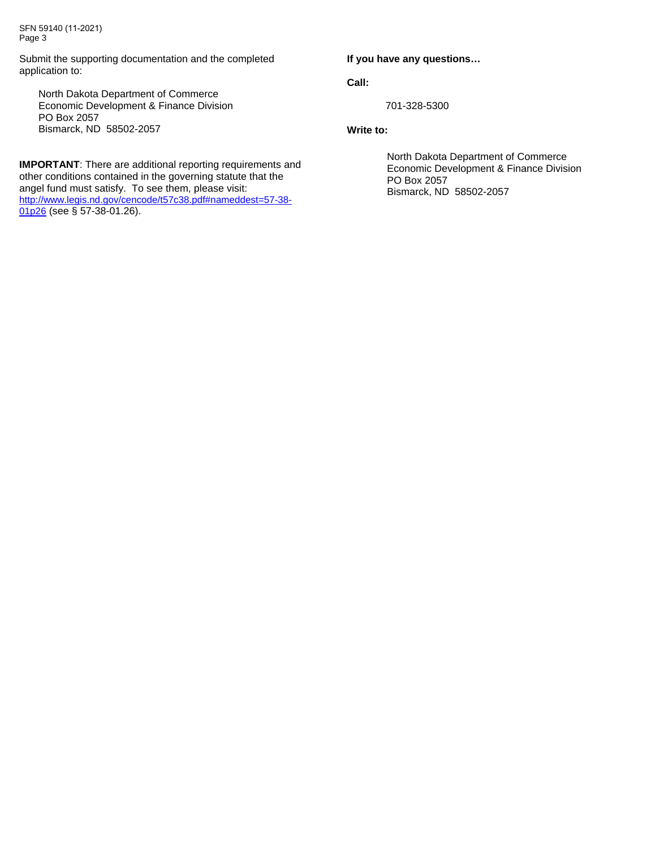SFN 59140 (11-2021) Page 3

Submit the supporting documentation and the completed application to:

North Dakota Department of Commerce Economic Development & Finance Division PO Box 2057 Bismarck, ND 58502-2057

**IMPORTANT**: There are additional reporting requirements and other conditions contained in the governing statute that the angel fund must satisfy. To see them, please visit: [http://www.legis.nd.gov/cencode/t57c38.pdf#nameddest=57-38-](http://www.legis.nd.gov/cencode/t57c38.pdf#nameddest=57-38-01p26) [01p26](http://www.legis.nd.gov/cencode/t57c38.pdf#nameddest=57-38-01p26) (see § 57-38-01.26).

#### **If you have any questions…**

**Call:** 

701-328-5300

#### **Write to:**

North Dakota Department of Commerce Economic Development & Finance Division PO Box 2057 Bismarck, ND 58502-2057